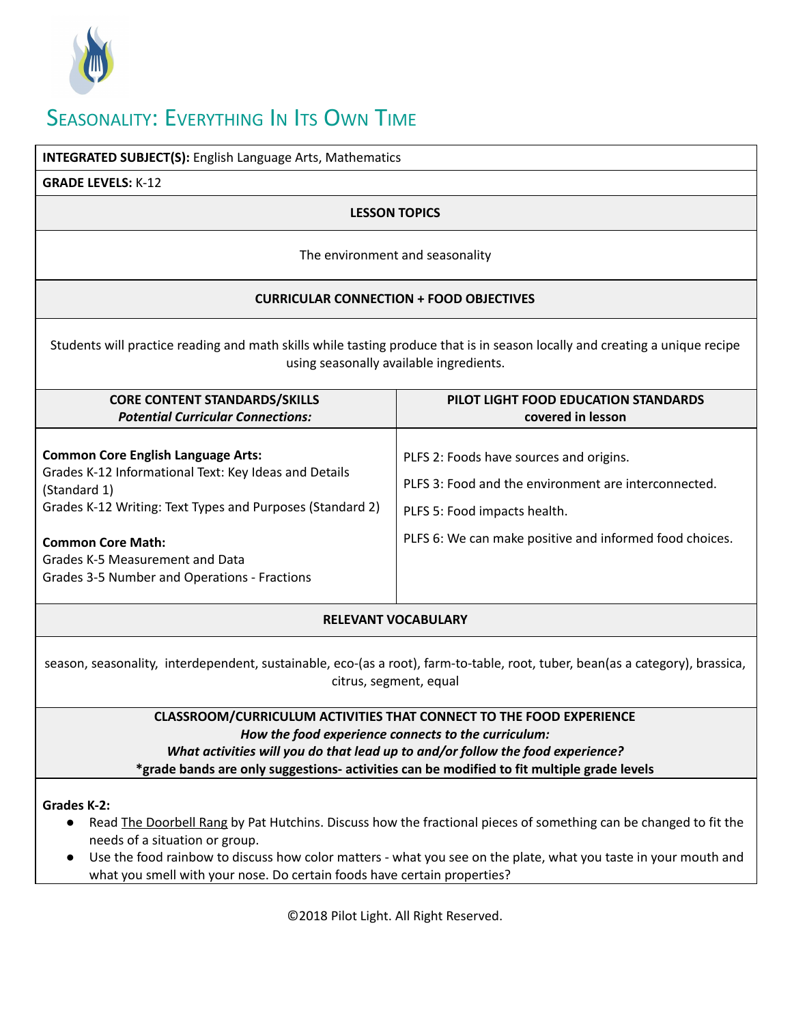

# SEASONALITY: EVERYTHING IN ITS OWN TIME

| <b>INTEGRATED SUBJECT(S):</b> English Language Arts, Mathematics                                                                                                                                                                                                                                                                                                               |                                                                                                                                                                                            |
|--------------------------------------------------------------------------------------------------------------------------------------------------------------------------------------------------------------------------------------------------------------------------------------------------------------------------------------------------------------------------------|--------------------------------------------------------------------------------------------------------------------------------------------------------------------------------------------|
| <b>GRADE LEVELS: K-12</b>                                                                                                                                                                                                                                                                                                                                                      |                                                                                                                                                                                            |
| <b>LESSON TOPICS</b>                                                                                                                                                                                                                                                                                                                                                           |                                                                                                                                                                                            |
| The environment and seasonality                                                                                                                                                                                                                                                                                                                                                |                                                                                                                                                                                            |
| <b>CURRICULAR CONNECTION + FOOD OBJECTIVES</b>                                                                                                                                                                                                                                                                                                                                 |                                                                                                                                                                                            |
| Students will practice reading and math skills while tasting produce that is in season locally and creating a unique recipe<br>using seasonally available ingredients.                                                                                                                                                                                                         |                                                                                                                                                                                            |
| <b>CORE CONTENT STANDARDS/SKILLS</b><br><b>Potential Curricular Connections:</b>                                                                                                                                                                                                                                                                                               | PILOT LIGHT FOOD EDUCATION STANDARDS<br>covered in lesson                                                                                                                                  |
| <b>Common Core English Language Arts:</b><br>Grades K-12 Informational Text: Key Ideas and Details<br>(Standard 1)<br>Grades K-12 Writing: Text Types and Purposes (Standard 2)<br><b>Common Core Math:</b><br>Grades K-5 Measurement and Data<br>Grades 3-5 Number and Operations - Fractions                                                                                 | PLFS 2: Foods have sources and origins.<br>PLFS 3: Food and the environment are interconnected.<br>PLFS 5: Food impacts health.<br>PLFS 6: We can make positive and informed food choices. |
| <b>RELEVANT VOCABULARY</b>                                                                                                                                                                                                                                                                                                                                                     |                                                                                                                                                                                            |
| season, seasonality, interdependent, sustainable, eco-(as a root), farm-to-table, root, tuber, bean(as a category), brassica,<br>citrus, segment, equal                                                                                                                                                                                                                        |                                                                                                                                                                                            |
| <b>CLASSROOM/CURRICULUM ACTIVITIES THAT CONNECT TO THE FOOD EXPERIENCE</b><br>How the food experience connects to the curriculum:<br>What activities will you do that lead up to and/or follow the food experience?<br>*grade bands are only suggestions- activities can be modified to fit multiple grade levels                                                              |                                                                                                                                                                                            |
| <b>Grades K-2:</b><br>Read <b>The Doorbell Rang by Pat Hutchins. Discuss how the fractional pieces of something can be changed to fit the</b><br>needs of a situation or group.<br>Use the food rainbow to discuss how color matters - what you see on the plate, what you taste in your mouth and<br>what you smell with your nose. Do certain foods have certain properties? |                                                                                                                                                                                            |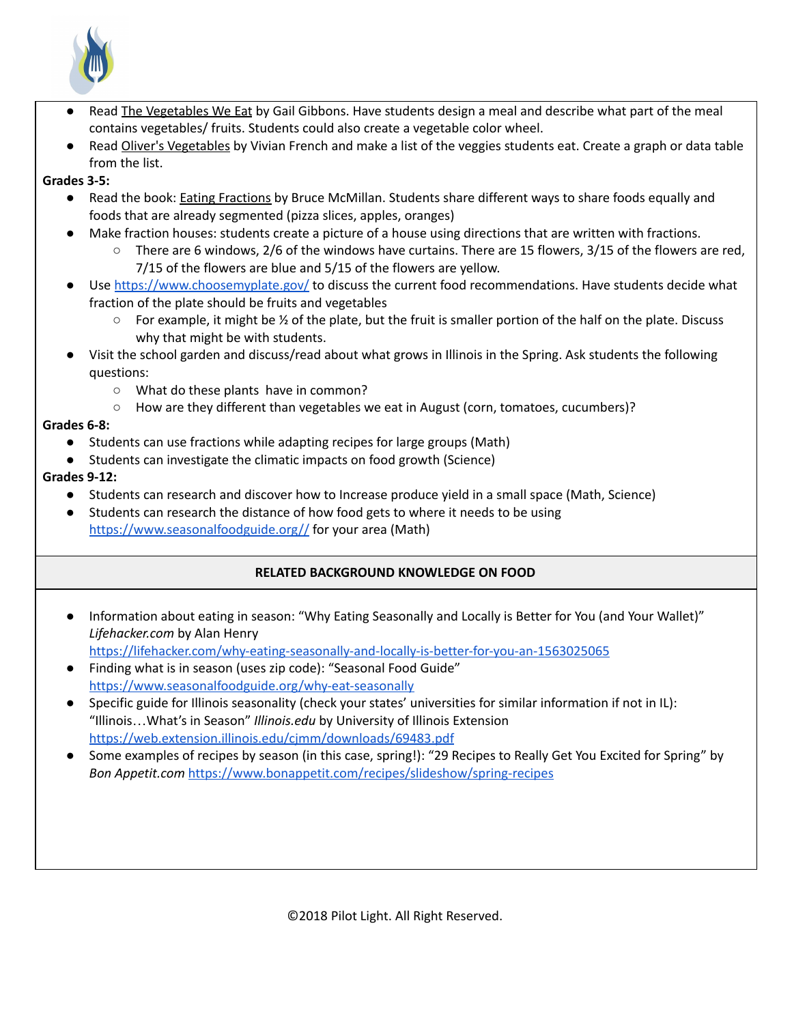

- Read The Vegetables We Eat by Gail Gibbons. Have students design a meal and describe what part of the meal contains vegetables/ fruits. Students could also create a vegetable color wheel.
- Read Oliver's Vegetables by Vivian French and make a list of the veggies students eat. Create a graph or data table from the list.
- **Grades 3-5:**
	- Read the book: **Eating Fractions** by Bruce McMillan. Students share different ways to share foods equally and foods that are already segmented (pizza slices, apples, oranges)
	- Make fraction houses: students create a picture of a house using directions that are written with fractions.
		- $\circ$  There are 6 windows, 2/6 of the windows have curtains. There are 15 flowers, 3/15 of the flowers are red, 7/15 of the flowers are blue and 5/15 of the flowers are yellow.
	- Use <https://www.choosemyplate.gov/> to discuss the current food recommendations. Have students decide what fraction of the plate should be fruits and vegetables
		- $\circ$  For example, it might be  $\frac{1}{2}$  of the plate, but the fruit is smaller portion of the half on the plate. Discuss why that might be with students.
	- Visit the school garden and discuss/read about what grows in Illinois in the Spring. Ask students the following questions:
		- What do these plants have in common?
		- How are they different than vegetables we eat in August (corn, tomatoes, cucumbers)?

## **Grades 6-8:**

- Students can use fractions while adapting recipes for large groups (Math)
- Students can investigate the climatic impacts on food growth (Science)

# **Grades 9-12:**

- Students can research and discover how to Increase produce yield in a small space (Math, Science)
- Students can research the distance of how food gets to where it needs to be using <https://www.seasonalfoodguide.org//> for your area (Math)

# **RELATED BACKGROUND KNOWLEDGE ON FOOD**

● Information about eating in season: "Why Eating Seasonally and Locally is Better for You (and Your Wallet)" *Lifehacker.com* by Alan Henry

<https://lifehacker.com/why-eating-seasonally-and-locally-is-better-for-you-an-1563025065>

- Finding what is in season (uses zip code): "Seasonal Food Guide" <https://www.seasonalfoodguide.org/why-eat-seasonally>
- Specific guide for Illinois seasonality (check your states' universities for similar information if not in IL): "Illinois…What's in Season" *Illinois.edu* by University of Illinois Extension <https://web.extension.illinois.edu/cjmm/downloads/69483.pdf>
- Some examples of recipes by season (in this case, spring!): "29 Recipes to Really Get You Excited for Spring" by *Bon Appetit.com* <https://www.bonappetit.com/recipes/slideshow/spring-recipes>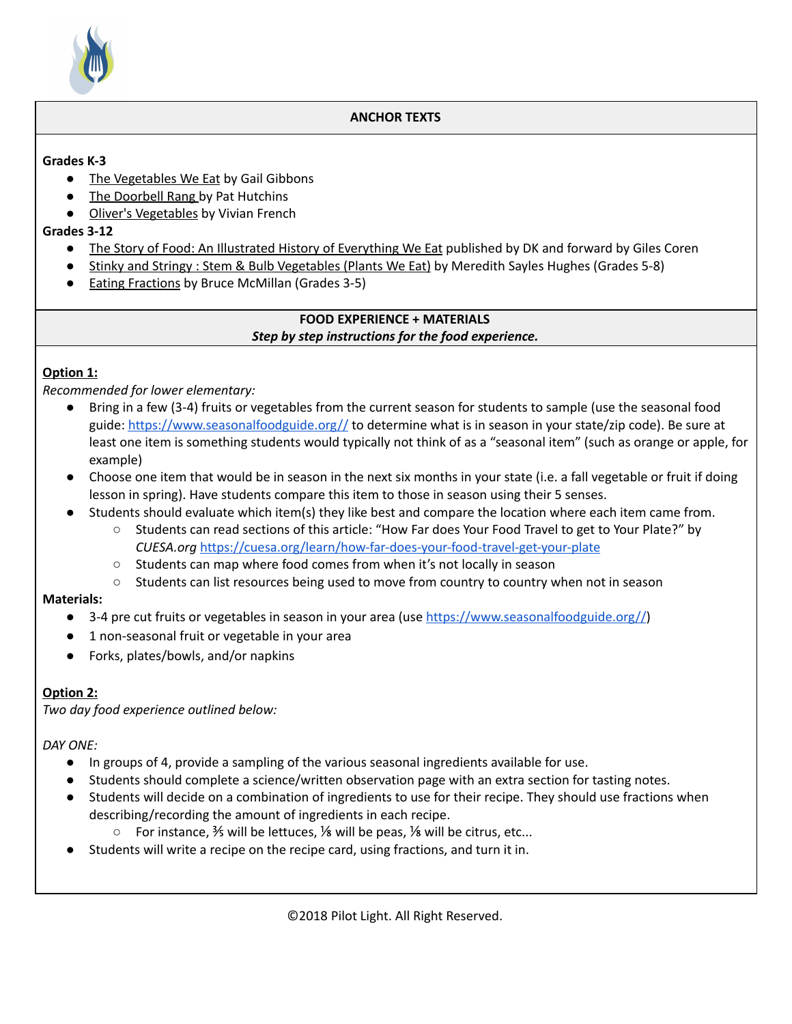

#### **ANCHOR TEXTS**

#### **Grades K-3**

- The Vegetables We Eat by Gail Gibbons
- *●* The Doorbell Rang by Pat Hutchins
- Oliver's Vegetables by Vivian French

#### **Grades 3-12**

- *●* The Story of Food: An Illustrated History of Everything We Eat published by DK and forward by Giles Coren
- *●* Stinky and Stringy : Stem & Bulb Vegetables (Plants We Eat) by Meredith Sayles Hughes (Grades 5-8)
- *●* Eating Fractions by Bruce McMillan (Grades 3-5)

#### **FOOD EXPERIENCE + MATERIALS** *Step by step instructions for the food experience.*

## **Option 1:**

*Recommended for lower elementary:*

- Bring in a few (3-4) fruits or vegetables from the current season for students to sample (use the seasonal food guide: <https://www.seasonalfoodguide.org//> to determine what is in season in your state/zip code). Be sure at least one item is something students would typically not think of as a "seasonal item" (such as orange or apple, for example)
- Choose one item that would be in season in the next six months in your state (i.e. a fall vegetable or fruit if doing lesson in spring). Have students compare this item to those in season using their 5 senses.
- Students should evaluate which item(s) they like best and compare the location where each item came from.
	- Students can read sections of this article: "How Far does Your Food Travel to get to Your Plate?" by *CUESA.org* <https://cuesa.org/learn/how-far-does-your-food-travel-get-your-plate>
	- Students can map where food comes from when it's not locally in season
	- Students can list resources being used to move from country to country when not in season

#### **Materials:**

- 3-4 pre cut fruits or vegetables in season in your area (use [https://www.seasonalfoodguide.org//\)](https://www.seasonalfoodguide.org//)
- 1 non-seasonal fruit or vegetable in your area
- Forks, plates/bowls, and/or napkins

# **Option 2:**

*Two day food experience outlined below:*

#### *DAY ONE:*

- In groups of 4, provide a sampling of the various seasonal ingredients available for use.
- Students should complete a science/written observation page with an extra section for tasting notes.
- Students will decide on a combination of ingredients to use for their recipe. They should use fractions when describing/recording the amount of ingredients in each recipe.
	- $\circ$  For instance, 3/<sub>5</sub> will be lettuces, 1/8 will be peas, 1/8 will be citrus, etc...
- Students will write a recipe on the recipe card, using fractions, and turn it in.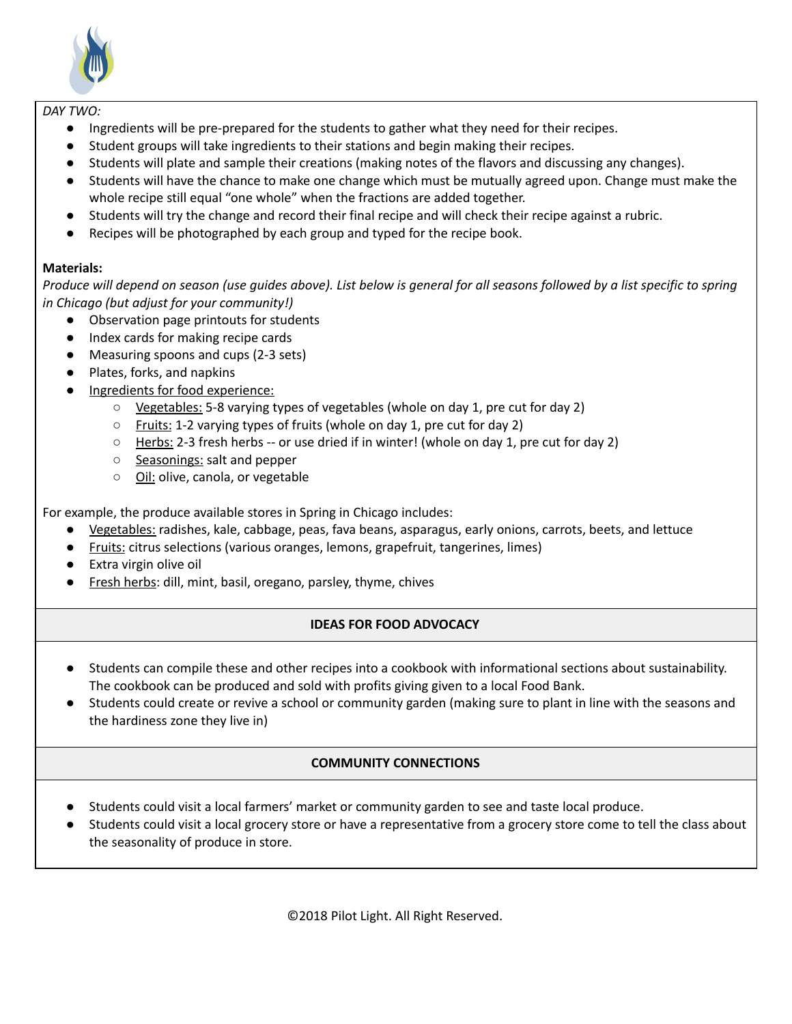

#### *DAY TWO:*

- Ingredients will be pre-prepared for the students to gather what they need for their recipes.
- Student groups will take ingredients to their stations and begin making their recipes.
- Students will plate and sample their creations (making notes of the flavors and discussing any changes).
- Students will have the chance to make one change which must be mutually agreed upon. Change must make the whole recipe still equal "one whole" when the fractions are added together.
- Students will try the change and record their final recipe and will check their recipe against a rubric.
- Recipes will be photographed by each group and typed for the recipe book.

## **Materials:**

Produce will depend on season (use quides above). List below is general for all seasons followed by a list specific to spring *in Chicago (but adjust for your community!)*

- Observation page printouts for students
- Index cards for making recipe cards
- Measuring spoons and cups (2-3 sets)
- Plates, forks, and napkins
- Ingredients for food experience:
	- Vegetables: 5-8 varying types of vegetables (whole on day 1, pre cut for day 2)
	- Fruits: 1-2 varying types of fruits (whole on day 1, pre cut for day 2)
	- $\circ$  Herbs: 2-3 fresh herbs -- or use dried if in winter! (whole on day 1, pre cut for day 2)
	- Seasonings: salt and pepper
	- Oil: olive, canola, or vegetable

For example, the produce available stores in Spring in Chicago includes:

- Vegetables: radishes, kale, cabbage, peas, fava beans, asparagus, early onions, carrots, beets, and lettuce
- Fruits: citrus selections (various oranges, lemons, grapefruit, tangerines, limes)
- Extra virgin olive oil
- Fresh herbs: dill, mint, basil, oregano, parsley, thyme, chives

# **IDEAS FOR FOOD ADVOCACY**

- Students can compile these and other recipes into a cookbook with informational sections about sustainability. The cookbook can be produced and sold with profits giving given to a local Food Bank.
- Students could create or revive a school or community garden (making sure to plant in line with the seasons and the hardiness zone they live in)

# **COMMUNITY CONNECTIONS**

- Students could visit a local farmers' market or community garden to see and taste local produce.
- Students could visit a local grocery store or have a representative from a grocery store come to tell the class about the seasonality of produce in store.